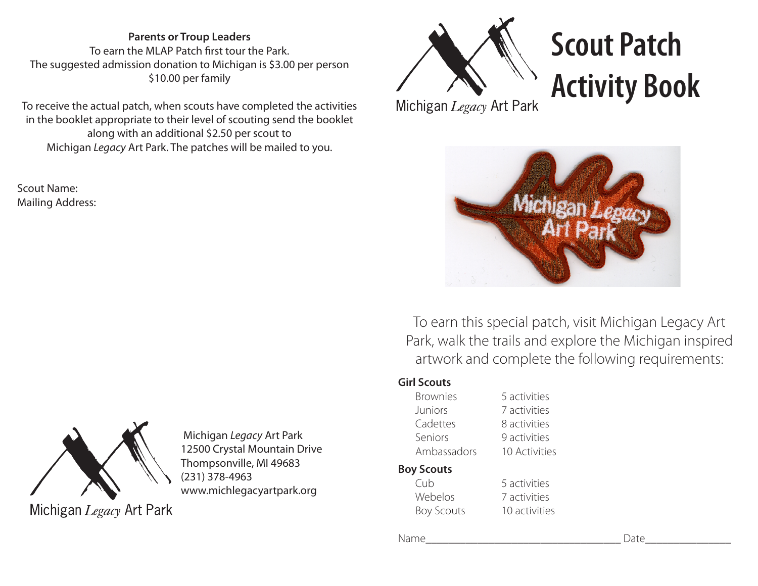**Parents or Troup Leaders** To earn the MLAP Patch first tour the Park. The suggested admission donation to Michigan is \$3.00 per person \$10.00 per family

To receive the actual patch, when scouts have completed the activities in the booklet appropriate to their level of scouting send the booklet along with an additional \$2.50 per scout to Michigan *Legacy* Art Park. The patches will be mailed to you.

Scout Name: Mailing Address:



 Michigan *Legacy* Art Park 12500 Crystal Mountain Drive Thompsonville, MI 49683 (231) 378-4963 www.michlegacyartpark.org

Michigan Legacy Art Park



## **Scout Patch Activity Book**

Michigan Legacy Art Park



To earn this special patch, visit Michigan Legacy Art Park, walk the trails and explore the Michigan inspired artwork and complete the following requirements:

## **Girl Scouts**

Brownies 5 activities Juniors 7 activities Cadettes 8 activities Seniors 9 activities Ambassadors 10 Activities

## **Boy Scouts**

Cub 5 activities Webelos 7 activities Boy Scouts 10 activities

Name\_\_\_\_\_\_\_\_\_\_\_\_\_\_\_\_\_\_\_\_\_\_\_\_\_\_\_\_\_\_\_\_\_\_ Date\_\_\_\_\_\_\_\_\_\_\_\_\_\_\_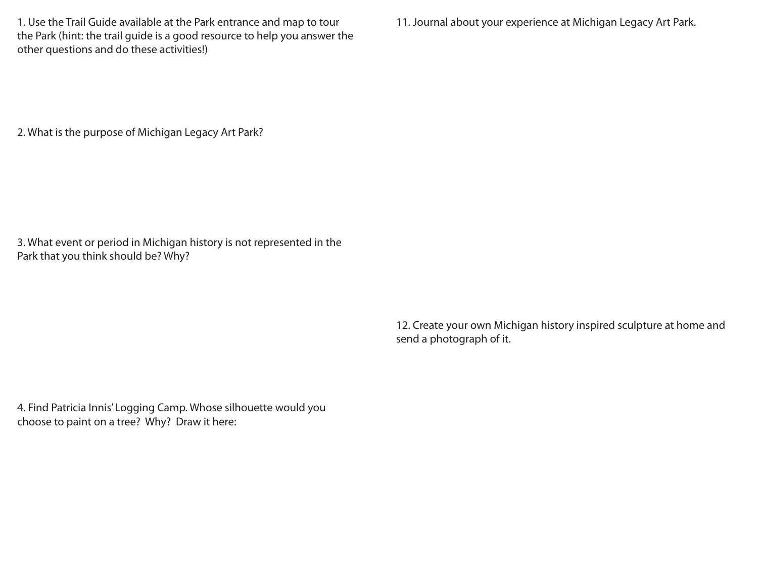1. Use the Trail Guide available at the Park entrance and map to tour the Park (hint: the trail guide is a good resource to help you answer the other questions and do these activities!)

11. Journal about your experience at Michigan Legacy Art Park.

2. What is the purpose of Michigan Legacy Art Park?

3. What event or period in Michigan history is not represented in the Park that you think should be? Why?

> 12. Create your own Michigan history inspired sculpture at home and send a photograph of it.

4. Find Patricia Innis' Logging Camp. Whose silhouette would you choose to paint on a tree? Why? Draw it here: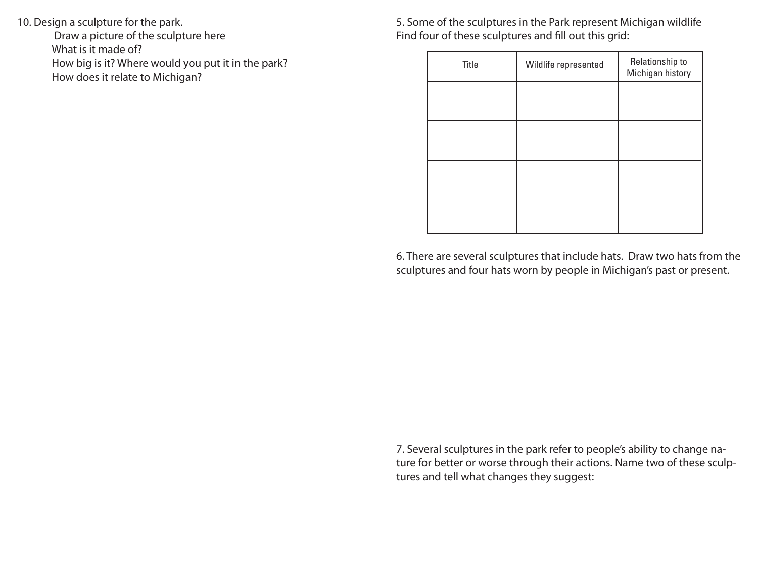10. Design a sculpture for the park.

 Draw a picture of the sculpture here What is it made of? How big is it? Where would you put it in the park? How does it relate to Michigan?

5. Some of the sculptures in the Park represent Michigan wildlife Find four of these sculptures and fill out this grid:

| Title | Wildlife represented | Relationship to<br>Michigan history |
|-------|----------------------|-------------------------------------|
|       |                      |                                     |
|       |                      |                                     |
|       |                      |                                     |
|       |                      |                                     |
|       |                      |                                     |

6. There are several sculptures that include hats. Draw two hats from the sculptures and four hats worn by people in Michigan's past or present.

7. Several sculptures in the park refer to people's ability to change nature for better or worse through their actions. Name two of these sculptures and tell what changes they suggest: